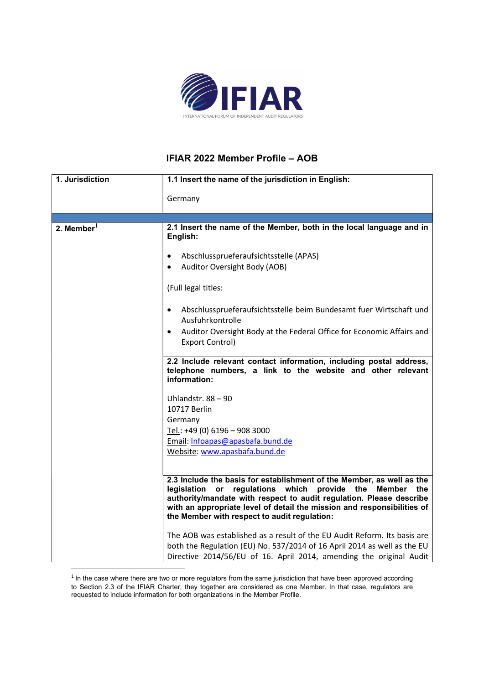

## IFIAR 2022 Member Profile – AOB

| 1. Jurisdiction | 1.1 Insert the name of the jurisdiction in English:                                                                                             |  |
|-----------------|-------------------------------------------------------------------------------------------------------------------------------------------------|--|
|                 | Germany                                                                                                                                         |  |
|                 |                                                                                                                                                 |  |
|                 |                                                                                                                                                 |  |
| 2. Member $^1$  | 2.1 Insert the name of the Member, both in the local language and in<br>English:                                                                |  |
|                 | Abschlussprueferaufsichtsstelle (APAS)<br>$\bullet$                                                                                             |  |
|                 | Auditor Oversight Body (AOB)                                                                                                                    |  |
|                 | (Full legal titles:                                                                                                                             |  |
|                 | Abschlussprueferaufsichtsstelle beim Bundesamt fuer Wirtschaft und<br>$\bullet$<br>Ausfuhrkontrolle                                             |  |
|                 | Auditor Oversight Body at the Federal Office for Economic Affairs and<br>$\bullet$<br>Export Control)                                           |  |
|                 | 2.2 Include relevant contact information, including postal address,                                                                             |  |
|                 | telephone numbers, a link to the website and other relevant<br>information:                                                                     |  |
|                 | Uhlandstr. $88 - 90$                                                                                                                            |  |
|                 | 10717 Berlin                                                                                                                                    |  |
|                 | Germany                                                                                                                                         |  |
|                 | Tel.: +49 (0) 6196 - 908 3000                                                                                                                   |  |
|                 | Email: Infoapas@apasbafa.bund.de<br>Website: www.apasbafa.bund.de                                                                               |  |
|                 |                                                                                                                                                 |  |
|                 | 2.3 Include the basis for establishment of the Member, as well as the                                                                           |  |
|                 | regulations which<br>legislation or<br>provide the<br>Member<br>the                                                                             |  |
|                 | authority/mandate with respect to audit regulation. Please describe                                                                             |  |
|                 | with an appropriate level of detail the mission and responsibilities of<br>the Member with respect to audit regulation:                         |  |
|                 |                                                                                                                                                 |  |
|                 | The AOB was established as a result of the EU Audit Reform. Its basis are                                                                       |  |
|                 | both the Regulation (EU) No. 537/2014 of 16 April 2014 as well as the EU<br>Directive 2014/56/EU of 16. April 2014, amending the original Audit |  |
|                 |                                                                                                                                                 |  |

 $<sup>1</sup>$  In the case where there are two or more regulators from the same jurisdiction that have been approved according</sup> to Section 2.3 of the IFIAR Charter, they together are considered as one Member. In that case, regulators are requested to include information for both organizations in the Member Profile.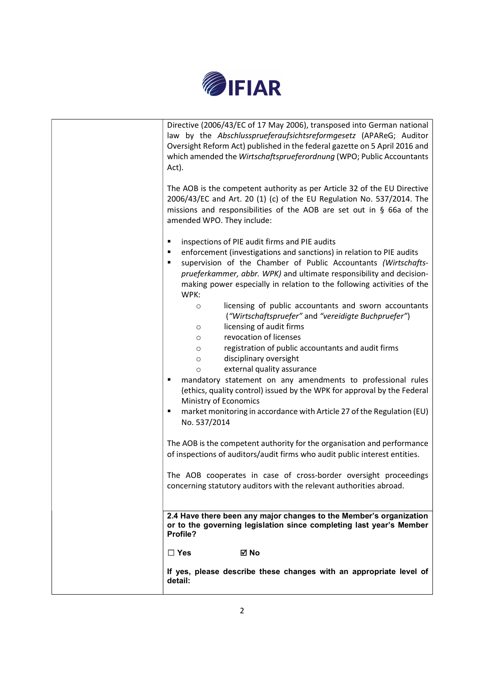

| Directive (2006/43/EC of 17 May 2006), transposed into German national<br>law by the Abschlussprueferaufsichtsreformgesetz (APAReG; Auditor<br>Oversight Reform Act) published in the federal gazette on 5 April 2016 and<br>which amended the Wirtschaftsprueferordnung (WPO; Public Accountants<br>Act).<br>The AOB is the competent authority as per Article 32 of the EU Directive<br>2006/43/EC and Art. 20 (1) (c) of the EU Regulation No. 537/2014. The<br>missions and responsibilities of the AOB are set out in $\S$ 66a of the |
|--------------------------------------------------------------------------------------------------------------------------------------------------------------------------------------------------------------------------------------------------------------------------------------------------------------------------------------------------------------------------------------------------------------------------------------------------------------------------------------------------------------------------------------------|
| amended WPO. They include:<br>inspections of PIE audit firms and PIE audits<br>٠<br>enforcement (investigations and sanctions) in relation to PIE audits<br>٠<br>supervision of the Chamber of Public Accountants (Wirtschafts-<br>٠<br>prueferkammer, abbr. WPK) and ultimate responsibility and decision-<br>making power especially in relation to the following activities of the<br>WPK:<br>licensing of public accountants and sworn accountants<br>$\circ$<br>("Wirtschaftspruefer" and "vereidigte Buchpruefer")                   |
| licensing of audit firms<br>$\circ$<br>revocation of licenses<br>$\circ$<br>registration of public accountants and audit firms<br>$\circ$<br>disciplinary oversight<br>$\circ$<br>external quality assurance<br>$\circ$<br>mandatory statement on any amendments to professional rules<br>(ethics, quality control) issued by the WPK for approval by the Federal<br>Ministry of Economics<br>market monitoring in accordance with Article 27 of the Regulation (EU)<br>٠<br>No. 537/2014                                                  |
| The AOB is the competent authority for the organisation and performance<br>of inspections of auditors/audit firms who audit public interest entities.<br>The AOB cooperates in case of cross-border oversight proceedings<br>concerning statutory auditors with the relevant authorities abroad.                                                                                                                                                                                                                                           |
| 2.4 Have there been any major changes to the Member's organization<br>or to the governing legislation since completing last year's Member<br>Profile?<br>⊠ No<br>$\Box$ Yes<br>If yes, please describe these changes with an appropriate level of                                                                                                                                                                                                                                                                                          |
| detail:                                                                                                                                                                                                                                                                                                                                                                                                                                                                                                                                    |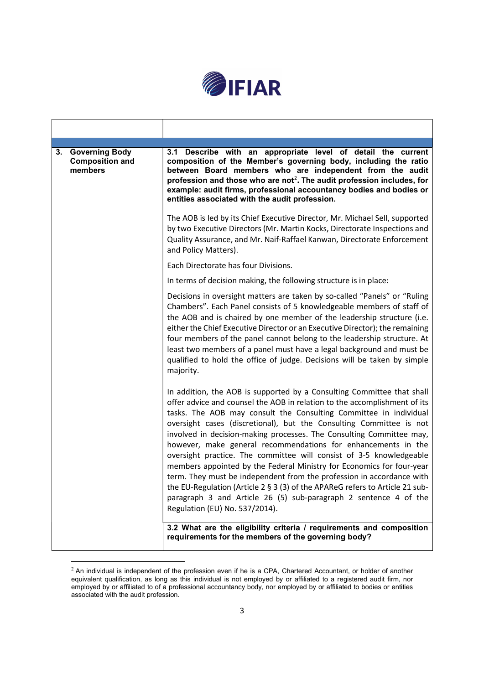

| <b>Governing Body</b><br>3.<br><b>Composition and</b><br>members | 3.1 Describe with an appropriate level of detail the current<br>composition of the Member's governing body, including the ratio<br>between Board members who are independent from the audit<br>profession and those who are not <sup>2</sup> . The audit profession includes, for<br>example: audit firms, professional accountancy bodies and bodies or<br>entities associated with the audit profession.                                                                                                                                                                                                                                                                                                                                                                                                                                              |
|------------------------------------------------------------------|---------------------------------------------------------------------------------------------------------------------------------------------------------------------------------------------------------------------------------------------------------------------------------------------------------------------------------------------------------------------------------------------------------------------------------------------------------------------------------------------------------------------------------------------------------------------------------------------------------------------------------------------------------------------------------------------------------------------------------------------------------------------------------------------------------------------------------------------------------|
|                                                                  | The AOB is led by its Chief Executive Director, Mr. Michael Sell, supported<br>by two Executive Directors (Mr. Martin Kocks, Directorate Inspections and<br>Quality Assurance, and Mr. Naif-Raffael Kanwan, Directorate Enforcement<br>and Policy Matters).                                                                                                                                                                                                                                                                                                                                                                                                                                                                                                                                                                                             |
|                                                                  | Each Directorate has four Divisions.                                                                                                                                                                                                                                                                                                                                                                                                                                                                                                                                                                                                                                                                                                                                                                                                                    |
|                                                                  | In terms of decision making, the following structure is in place:                                                                                                                                                                                                                                                                                                                                                                                                                                                                                                                                                                                                                                                                                                                                                                                       |
|                                                                  | Decisions in oversight matters are taken by so-called "Panels" or "Ruling<br>Chambers". Each Panel consists of 5 knowledgeable members of staff of<br>the AOB and is chaired by one member of the leadership structure (i.e.<br>either the Chief Executive Director or an Executive Director); the remaining<br>four members of the panel cannot belong to the leadership structure. At<br>least two members of a panel must have a legal background and must be<br>qualified to hold the office of judge. Decisions will be taken by simple<br>majority.                                                                                                                                                                                                                                                                                               |
|                                                                  | In addition, the AOB is supported by a Consulting Committee that shall<br>offer advice and counsel the AOB in relation to the accomplishment of its<br>tasks. The AOB may consult the Consulting Committee in individual<br>oversight cases (discretional), but the Consulting Committee is not<br>involved in decision-making processes. The Consulting Committee may,<br>however, make general recommendations for enhancements in the<br>oversight practice. The committee will consist of 3-5 knowledgeable<br>members appointed by the Federal Ministry for Economics for four-year<br>term. They must be independent from the profession in accordance with<br>the EU-Regulation (Article 2 § 3 (3) of the APAReG refers to Article 21 sub-<br>paragraph 3 and Article 26 (5) sub-paragraph 2 sentence 4 of the<br>Regulation (EU) No. 537/2014). |
|                                                                  | 3.2 What are the eligibility criteria / requirements and composition<br>requirements for the members of the governing body?                                                                                                                                                                                                                                                                                                                                                                                                                                                                                                                                                                                                                                                                                                                             |

 $^2$  An individual is independent of the profession even if he is a CPA, Chartered Accountant, or holder of another equivalent qualification, as long as this individual is not employed by or affiliated to a registered audit firm, nor employed by or affiliated to of a professional accountancy body, nor employed by or affiliated to bodies or entities associated with the audit profession.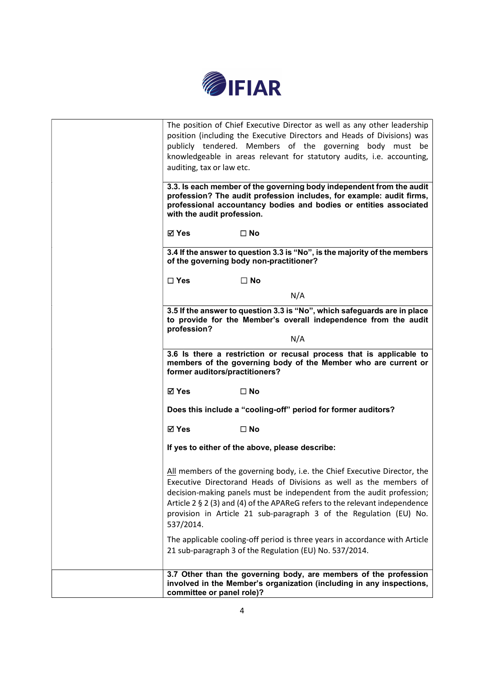

| auditing, tax or law etc.<br>with the audit profession. | The position of Chief Executive Director as well as any other leadership<br>position (including the Executive Directors and Heads of Divisions) was<br>publicly tendered. Members of the governing body must be<br>knowledgeable in areas relevant for statutory audits, i.e. accounting,<br>3.3. Is each member of the governing body independent from the audit<br>profession? The audit profession includes, for example: audit firms,<br>professional accountancy bodies and bodies or entities associated |
|---------------------------------------------------------|----------------------------------------------------------------------------------------------------------------------------------------------------------------------------------------------------------------------------------------------------------------------------------------------------------------------------------------------------------------------------------------------------------------------------------------------------------------------------------------------------------------|
| <b>⊠</b> Yes                                            | $\square$ No                                                                                                                                                                                                                                                                                                                                                                                                                                                                                                   |
|                                                         | 3.4 If the answer to question 3.3 is "No", is the majority of the members<br>of the governing body non-practitioner?                                                                                                                                                                                                                                                                                                                                                                                           |
| $\square$ Yes                                           | $\square$ No                                                                                                                                                                                                                                                                                                                                                                                                                                                                                                   |
|                                                         | N/A                                                                                                                                                                                                                                                                                                                                                                                                                                                                                                            |
| profession?                                             | 3.5 If the answer to question 3.3 is "No", which safeguards are in place<br>to provide for the Member's overall independence from the audit                                                                                                                                                                                                                                                                                                                                                                    |
|                                                         | N/A                                                                                                                                                                                                                                                                                                                                                                                                                                                                                                            |
| former auditors/practitioners?                          | 3.6 Is there a restriction or recusal process that is applicable to<br>members of the governing body of the Member who are current or                                                                                                                                                                                                                                                                                                                                                                          |
| ⊠ Yes                                                   | $\square$ No                                                                                                                                                                                                                                                                                                                                                                                                                                                                                                   |
|                                                         | Does this include a "cooling-off" period for former auditors?                                                                                                                                                                                                                                                                                                                                                                                                                                                  |
| ⊠ Yes                                                   | $\square$ No                                                                                                                                                                                                                                                                                                                                                                                                                                                                                                   |
|                                                         | If yes to either of the above, please describe:                                                                                                                                                                                                                                                                                                                                                                                                                                                                |
| 537/2014.                                               | All members of the governing body, i.e. the Chief Executive Director, the<br>Executive Directorand Heads of Divisions as well as the members of<br>decision-making panels must be independent from the audit profession;<br>Article 2 § 2 (3) and (4) of the APAReG refers to the relevant independence<br>provision in Article 21 sub-paragraph 3 of the Regulation (EU) No.                                                                                                                                  |
|                                                         | The applicable cooling-off period is three years in accordance with Article<br>21 sub-paragraph 3 of the Regulation (EU) No. 537/2014.                                                                                                                                                                                                                                                                                                                                                                         |
| committee or panel role)?                               | 3.7 Other than the governing body, are members of the profession<br>involved in the Member's organization (including in any inspections,                                                                                                                                                                                                                                                                                                                                                                       |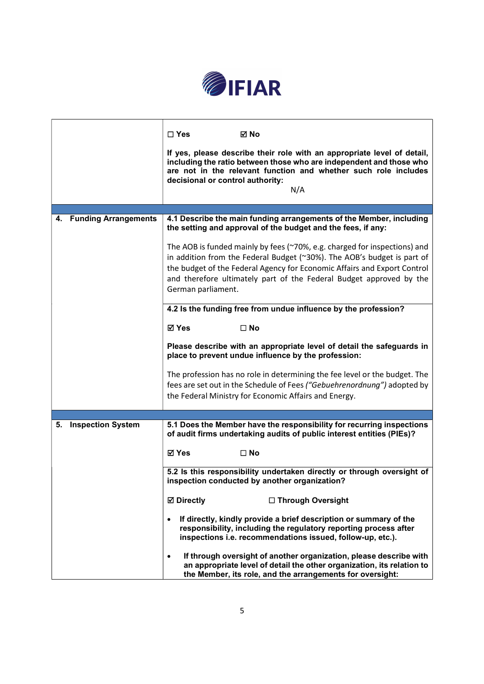

|                                | $\Box$ Yes<br>⊠ No<br>If yes, please describe their role with an appropriate level of detail,<br>including the ratio between those who are independent and those who<br>are not in the relevant function and whether such role includes<br>decisional or control authority:<br>N/A                                            |  |
|--------------------------------|-------------------------------------------------------------------------------------------------------------------------------------------------------------------------------------------------------------------------------------------------------------------------------------------------------------------------------|--|
| 4. Funding Arrangements        | 4.1 Describe the main funding arrangements of the Member, including                                                                                                                                                                                                                                                           |  |
|                                | the setting and approval of the budget and the fees, if any:                                                                                                                                                                                                                                                                  |  |
|                                | The AOB is funded mainly by fees (~70%, e.g. charged for inspections) and<br>in addition from the Federal Budget (~30%). The AOB's budget is part of<br>the budget of the Federal Agency for Economic Affairs and Export Control<br>and therefore ultimately part of the Federal Budget approved by the<br>German parliament. |  |
|                                | 4.2 Is the funding free from undue influence by the profession?                                                                                                                                                                                                                                                               |  |
|                                | <b>⊠</b> Yes<br>$\square$ No                                                                                                                                                                                                                                                                                                  |  |
|                                | Please describe with an appropriate level of detail the safeguards in<br>place to prevent undue influence by the profession:                                                                                                                                                                                                  |  |
|                                | The profession has no role in determining the fee level or the budget. The<br>fees are set out in the Schedule of Fees ("Gebuehrenordnung") adopted by<br>the Federal Ministry for Economic Affairs and Energy.                                                                                                               |  |
|                                |                                                                                                                                                                                                                                                                                                                               |  |
| <b>Inspection System</b><br>5. | 5.1 Does the Member have the responsibility for recurring inspections<br>of audit firms undertaking audits of public interest entities (PIEs)?                                                                                                                                                                                |  |
|                                | <b>⊠ Yes</b><br>$\square$ No                                                                                                                                                                                                                                                                                                  |  |
|                                | 5.2 Is this responsibility undertaken directly or through oversight of<br>inspection conducted by another organization?                                                                                                                                                                                                       |  |
|                                | <b>☑</b> Directly<br>□ Through Oversight                                                                                                                                                                                                                                                                                      |  |
|                                | If directly, kindly provide a brief description or summary of the<br>responsibility, including the regulatory reporting process after<br>inspections i.e. recommendations issued, follow-up, etc.).                                                                                                                           |  |
|                                | If through oversight of another organization, please describe with<br>$\bullet$<br>an appropriate level of detail the other organization, its relation to<br>the Member, its role, and the arrangements for oversight:                                                                                                        |  |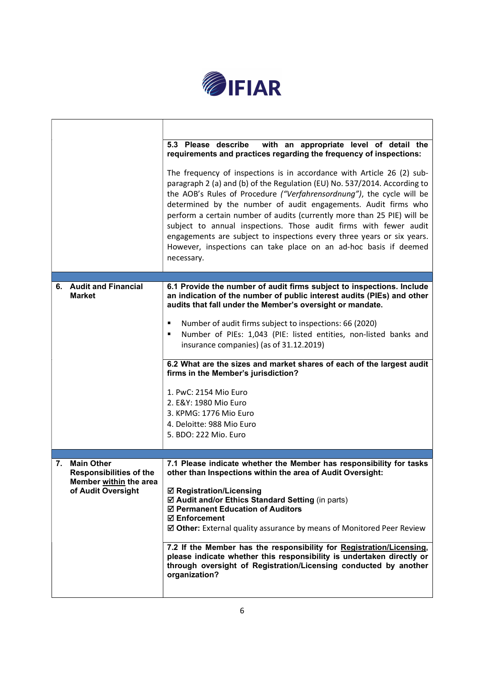

|    |                                              | 5.3 Please describe<br>with an appropriate level of detail the<br>requirements and practices regarding the frequency of inspections:                                                                                                                                                                                                                                                                                                                                                                                                                                                                       |
|----|----------------------------------------------|------------------------------------------------------------------------------------------------------------------------------------------------------------------------------------------------------------------------------------------------------------------------------------------------------------------------------------------------------------------------------------------------------------------------------------------------------------------------------------------------------------------------------------------------------------------------------------------------------------|
|    |                                              | The frequency of inspections is in accordance with Article 26 (2) sub-<br>paragraph 2 (a) and (b) of the Regulation (EU) No. 537/2014. According to<br>the AOB's Rules of Procedure ("Verfahrensordnung"), the cycle will be<br>determined by the number of audit engagements. Audit firms who<br>perform a certain number of audits (currently more than 25 PIE) will be<br>subject to annual inspections. Those audit firms with fewer audit<br>engagements are subject to inspections every three years or six years.<br>However, inspections can take place on an ad-hoc basis if deemed<br>necessary. |
|    | 6. Audit and Financial                       | 6.1 Provide the number of audit firms subject to inspections. Include                                                                                                                                                                                                                                                                                                                                                                                                                                                                                                                                      |
|    | <b>Market</b>                                | an indication of the number of public interest audits (PIEs) and other<br>audits that fall under the Member's oversight or mandate.                                                                                                                                                                                                                                                                                                                                                                                                                                                                        |
|    |                                              | Number of audit firms subject to inspections: 66 (2020)                                                                                                                                                                                                                                                                                                                                                                                                                                                                                                                                                    |
|    |                                              | Number of PIEs: 1,043 (PIE: listed entities, non-listed banks and<br>٠                                                                                                                                                                                                                                                                                                                                                                                                                                                                                                                                     |
|    |                                              | insurance companies) (as of 31.12.2019)                                                                                                                                                                                                                                                                                                                                                                                                                                                                                                                                                                    |
|    |                                              | 6.2 What are the sizes and market shares of each of the largest audit                                                                                                                                                                                                                                                                                                                                                                                                                                                                                                                                      |
|    |                                              | firms in the Member's jurisdiction?                                                                                                                                                                                                                                                                                                                                                                                                                                                                                                                                                                        |
|    |                                              | 1. PwC: 2154 Mio Euro                                                                                                                                                                                                                                                                                                                                                                                                                                                                                                                                                                                      |
|    |                                              | 2. E&Y: 1980 Mio Euro<br>3. KPMG: 1776 Mio Euro                                                                                                                                                                                                                                                                                                                                                                                                                                                                                                                                                            |
|    |                                              | 4. Deloitte: 988 Mio Euro                                                                                                                                                                                                                                                                                                                                                                                                                                                                                                                                                                                  |
|    |                                              | 5. BDO: 222 Mio. Euro                                                                                                                                                                                                                                                                                                                                                                                                                                                                                                                                                                                      |
| 7. | <b>Main Other</b>                            | 7.1 Please indicate whether the Member has responsibility for tasks                                                                                                                                                                                                                                                                                                                                                                                                                                                                                                                                        |
|    | <b>Responsibilities of the</b>               | other than Inspections within the area of Audit Oversight:                                                                                                                                                                                                                                                                                                                                                                                                                                                                                                                                                 |
|    | Member within the area<br>of Audit Oversight | ☑ Registration/Licensing                                                                                                                                                                                                                                                                                                                                                                                                                                                                                                                                                                                   |
|    |                                              | ☑ Audit and/or Ethics Standard Setting (in parts)<br>☑ Permanent Education of Auditors                                                                                                                                                                                                                                                                                                                                                                                                                                                                                                                     |
|    |                                              | <b>ØEnforcement</b><br>☑ Other: External quality assurance by means of Monitored Peer Review                                                                                                                                                                                                                                                                                                                                                                                                                                                                                                               |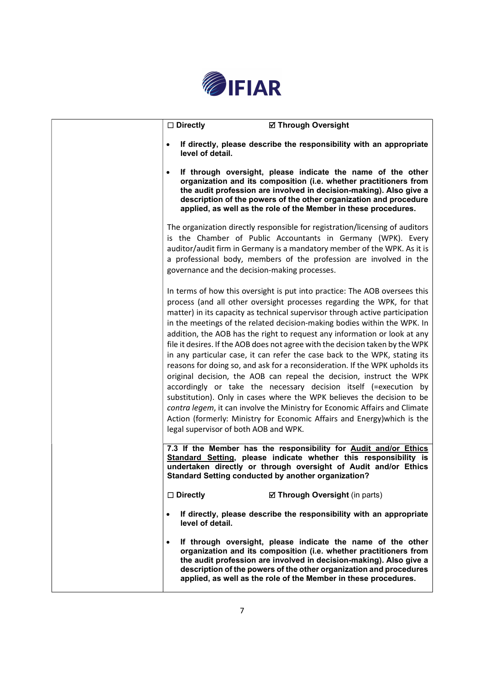

| <b>Ø Through Oversight</b><br>$\square$ Directly                                                                                                                                                                                                                                                                                                                                                                                                                                                                                                                                                                                                                                                                                                                                                                                                                                                                                                                                                                                                                     |
|----------------------------------------------------------------------------------------------------------------------------------------------------------------------------------------------------------------------------------------------------------------------------------------------------------------------------------------------------------------------------------------------------------------------------------------------------------------------------------------------------------------------------------------------------------------------------------------------------------------------------------------------------------------------------------------------------------------------------------------------------------------------------------------------------------------------------------------------------------------------------------------------------------------------------------------------------------------------------------------------------------------------------------------------------------------------|
| If directly, please describe the responsibility with an appropriate<br>level of detail.                                                                                                                                                                                                                                                                                                                                                                                                                                                                                                                                                                                                                                                                                                                                                                                                                                                                                                                                                                              |
| If through oversight, please indicate the name of the other<br>organization and its composition (i.e. whether practitioners from<br>the audit profession are involved in decision-making). Also give a<br>description of the powers of the other organization and procedure<br>applied, as well as the role of the Member in these procedures.                                                                                                                                                                                                                                                                                                                                                                                                                                                                                                                                                                                                                                                                                                                       |
| The organization directly responsible for registration/licensing of auditors<br>is the Chamber of Public Accountants in Germany (WPK). Every<br>auditor/audit firm in Germany is a mandatory member of the WPK. As it is<br>a professional body, members of the profession are involved in the<br>governance and the decision-making processes.                                                                                                                                                                                                                                                                                                                                                                                                                                                                                                                                                                                                                                                                                                                      |
| In terms of how this oversight is put into practice: The AOB oversees this<br>process (and all other oversight processes regarding the WPK, for that<br>matter) in its capacity as technical supervisor through active participation<br>in the meetings of the related decision-making bodies within the WPK. In<br>addition, the AOB has the right to request any information or look at any<br>file it desires. If the AOB does not agree with the decision taken by the WPK<br>in any particular case, it can refer the case back to the WPK, stating its<br>reasons for doing so, and ask for a reconsideration. If the WPK upholds its<br>original decision, the AOB can repeal the decision, instruct the WPK<br>accordingly or take the necessary decision itself (=execution by<br>substitution). Only in cases where the WPK believes the decision to be<br>contra legem, it can involve the Ministry for Economic Affairs and Climate<br>Action (formerly: Ministry for Economic Affairs and Energy) which is the<br>legal supervisor of both AOB and WPK. |
| 7.3 If the Member has the responsibility for Audit and/or Ethics<br>Standard Setting, please indicate whether this responsibility is<br>undertaken directly or through oversight of Audit and/or Ethics<br>Standard Setting conducted by another organization?                                                                                                                                                                                                                                                                                                                                                                                                                                                                                                                                                                                                                                                                                                                                                                                                       |
| $\Box$ Directly<br>☑ Through Oversight (in parts)                                                                                                                                                                                                                                                                                                                                                                                                                                                                                                                                                                                                                                                                                                                                                                                                                                                                                                                                                                                                                    |
| If directly, please describe the responsibility with an appropriate<br>$\bullet$<br>level of detail.                                                                                                                                                                                                                                                                                                                                                                                                                                                                                                                                                                                                                                                                                                                                                                                                                                                                                                                                                                 |
| If through oversight, please indicate the name of the other<br>organization and its composition (i.e. whether practitioners from<br>the audit profession are involved in decision-making). Also give a<br>description of the powers of the other organization and procedures<br>applied, as well as the role of the Member in these procedures.                                                                                                                                                                                                                                                                                                                                                                                                                                                                                                                                                                                                                                                                                                                      |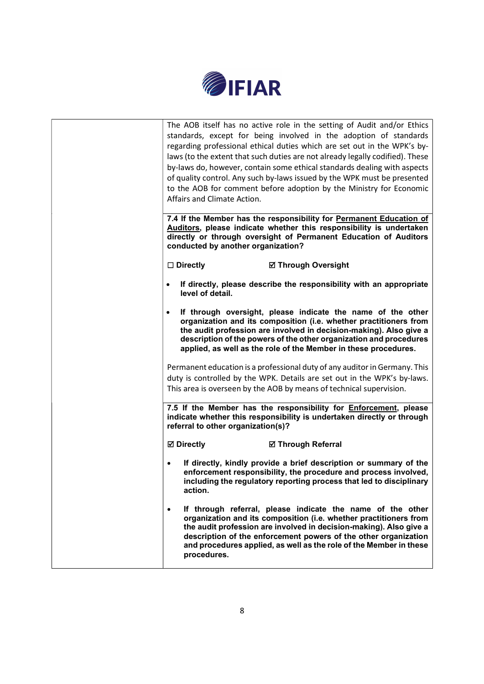

| Affairs and Climate Action.<br>conducted by another organization? | The AOB itself has no active role in the setting of Audit and/or Ethics<br>standards, except for being involved in the adoption of standards<br>regarding professional ethical duties which are set out in the WPK's by-<br>laws (to the extent that such duties are not already legally codified). These<br>by-laws do, however, contain some ethical standards dealing with aspects<br>of quality control. Any such by-laws issued by the WPK must be presented<br>to the AOB for comment before adoption by the Ministry for Economic<br>7.4 If the Member has the responsibility for Permanent Education of<br>Auditors, please indicate whether this responsibility is undertaken<br>directly or through oversight of Permanent Education of Auditors |
|-------------------------------------------------------------------|------------------------------------------------------------------------------------------------------------------------------------------------------------------------------------------------------------------------------------------------------------------------------------------------------------------------------------------------------------------------------------------------------------------------------------------------------------------------------------------------------------------------------------------------------------------------------------------------------------------------------------------------------------------------------------------------------------------------------------------------------------|
| $\Box$ Directly                                                   | <b>Ø Through Oversight</b>                                                                                                                                                                                                                                                                                                                                                                                                                                                                                                                                                                                                                                                                                                                                 |
| level of detail.                                                  | If directly, please describe the responsibility with an appropriate                                                                                                                                                                                                                                                                                                                                                                                                                                                                                                                                                                                                                                                                                        |
|                                                                   | If through oversight, please indicate the name of the other<br>organization and its composition (i.e. whether practitioners from<br>the audit profession are involved in decision-making). Also give a<br>description of the powers of the other organization and procedures<br>applied, as well as the role of the Member in these procedures.                                                                                                                                                                                                                                                                                                                                                                                                            |
|                                                                   | Permanent education is a professional duty of any auditor in Germany. This<br>duty is controlled by the WPK. Details are set out in the WPK's by-laws.<br>This area is overseen by the AOB by means of technical supervision.                                                                                                                                                                                                                                                                                                                                                                                                                                                                                                                              |
| referral to other organization(s)?                                | 7.5 If the Member has the responsibility for <i>Enforcement</i> , please<br>indicate whether this responsibility is undertaken directly or through                                                                                                                                                                                                                                                                                                                                                                                                                                                                                                                                                                                                         |
| <b>Ø</b> Directly                                                 | <b>Ø Through Referral</b>                                                                                                                                                                                                                                                                                                                                                                                                                                                                                                                                                                                                                                                                                                                                  |
| action.                                                           | If directly, kindly provide a brief description or summary of the<br>enforcement responsibility, the procedure and process involved,<br>including the regulatory reporting process that led to disciplinary                                                                                                                                                                                                                                                                                                                                                                                                                                                                                                                                                |
| $\bullet$<br>procedures.                                          | If through referral, please indicate the name of the other<br>organization and its composition (i.e. whether practitioners from<br>the audit profession are involved in decision-making). Also give a<br>description of the enforcement powers of the other organization<br>and procedures applied, as well as the role of the Member in these                                                                                                                                                                                                                                                                                                                                                                                                             |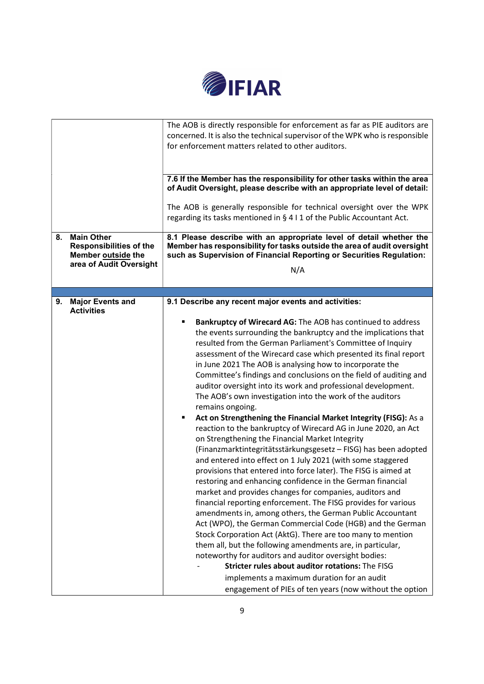

|    |                                                                                                      | The AOB is directly responsible for enforcement as far as PIE auditors are<br>concerned. It is also the technical supervisor of the WPK who is responsible<br>for enforcement matters related to other auditors.                                                                                                                                                                                                                                                                                                                                                                                                                                                                                                                                                                                                                                                                                                                                                                                                                                                                                                                                                                                                                                                                                                                                                                                                                                                                                                       |  |
|----|------------------------------------------------------------------------------------------------------|------------------------------------------------------------------------------------------------------------------------------------------------------------------------------------------------------------------------------------------------------------------------------------------------------------------------------------------------------------------------------------------------------------------------------------------------------------------------------------------------------------------------------------------------------------------------------------------------------------------------------------------------------------------------------------------------------------------------------------------------------------------------------------------------------------------------------------------------------------------------------------------------------------------------------------------------------------------------------------------------------------------------------------------------------------------------------------------------------------------------------------------------------------------------------------------------------------------------------------------------------------------------------------------------------------------------------------------------------------------------------------------------------------------------------------------------------------------------------------------------------------------------|--|
|    |                                                                                                      | 7.6 If the Member has the responsibility for other tasks within the area<br>of Audit Oversight, please describe with an appropriate level of detail:<br>The AOB is generally responsible for technical oversight over the WPK                                                                                                                                                                                                                                                                                                                                                                                                                                                                                                                                                                                                                                                                                                                                                                                                                                                                                                                                                                                                                                                                                                                                                                                                                                                                                          |  |
|    |                                                                                                      | regarding its tasks mentioned in § 4 I 1 of the Public Accountant Act.                                                                                                                                                                                                                                                                                                                                                                                                                                                                                                                                                                                                                                                                                                                                                                                                                                                                                                                                                                                                                                                                                                                                                                                                                                                                                                                                                                                                                                                 |  |
| 8. | <b>Main Other</b><br><b>Responsibilities of the</b><br>Member outside the<br>area of Audit Oversight | 8.1 Please describe with an appropriate level of detail whether the<br>Member has responsibility for tasks outside the area of audit oversight<br>such as Supervision of Financial Reporting or Securities Regulation:<br>N/A                                                                                                                                                                                                                                                                                                                                                                                                                                                                                                                                                                                                                                                                                                                                                                                                                                                                                                                                                                                                                                                                                                                                                                                                                                                                                          |  |
|    |                                                                                                      |                                                                                                                                                                                                                                                                                                                                                                                                                                                                                                                                                                                                                                                                                                                                                                                                                                                                                                                                                                                                                                                                                                                                                                                                                                                                                                                                                                                                                                                                                                                        |  |
| 9. | <b>Major Events and</b><br><b>Activities</b>                                                         | 9.1 Describe any recent major events and activities:                                                                                                                                                                                                                                                                                                                                                                                                                                                                                                                                                                                                                                                                                                                                                                                                                                                                                                                                                                                                                                                                                                                                                                                                                                                                                                                                                                                                                                                                   |  |
|    |                                                                                                      | Bankruptcy of Wirecard AG: The AOB has continued to address<br>the events surrounding the bankruptcy and the implications that<br>resulted from the German Parliament's Committee of Inquiry<br>assessment of the Wirecard case which presented its final report<br>in June 2021 The AOB is analysing how to incorporate the<br>Committee's findings and conclusions on the field of auditing and<br>auditor oversight into its work and professional development.<br>The AOB's own investigation into the work of the auditors<br>remains ongoing.<br>Act on Strengthening the Financial Market Integrity (FISG): As a<br>٠<br>reaction to the bankruptcy of Wirecard AG in June 2020, an Act<br>on Strengthening the Financial Market Integrity<br>(Finanzmarktintegritätsstärkungsgesetz - FISG) has been adopted<br>and entered into effect on 1 July 2021 (with some staggered<br>provisions that entered into force later). The FISG is aimed at<br>restoring and enhancing confidence in the German financial<br>market and provides changes for companies, auditors and<br>financial reporting enforcement. The FISG provides for various<br>amendments in, among others, the German Public Accountant<br>Act (WPO), the German Commercial Code (HGB) and the German<br>Stock Corporation Act (AktG). There are too many to mention<br>them all, but the following amendments are, in particular,<br>noteworthy for auditors and auditor oversight bodies:<br>Stricter rules about auditor rotations: The FISG |  |